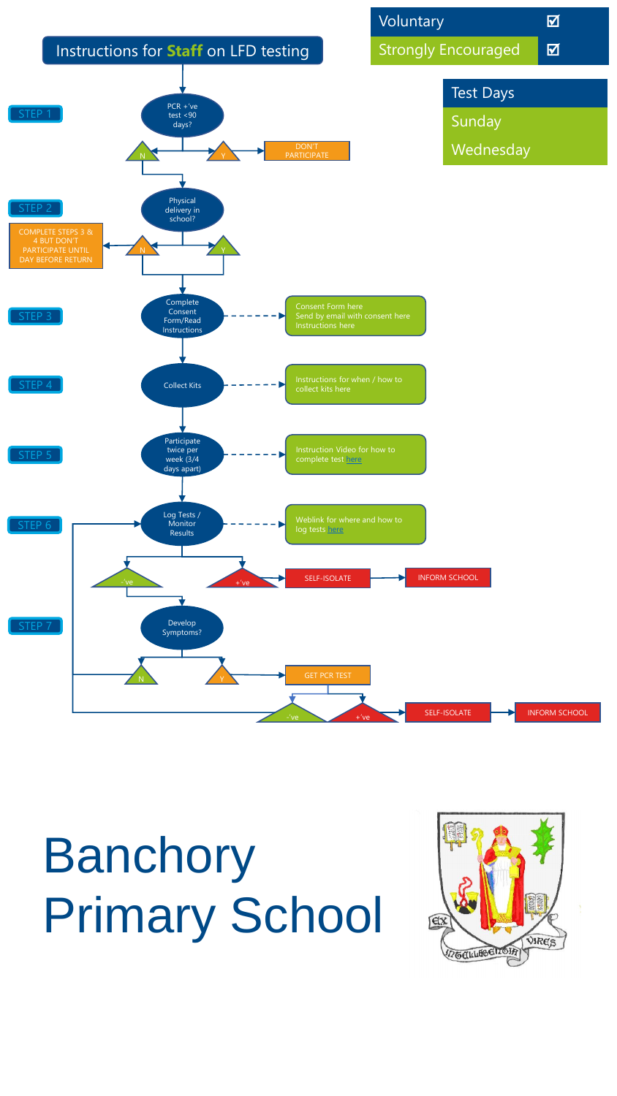

## Banchory Primary School